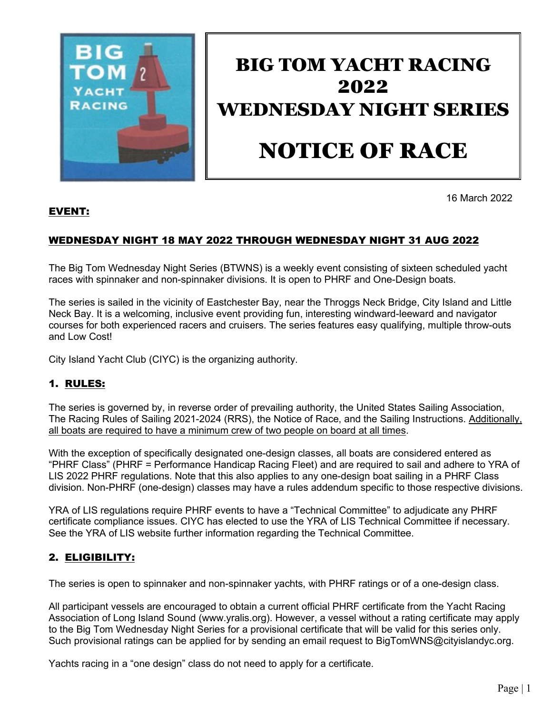

# BIG TOM YACHT RACING 2022 WEDNESDAY NIGHT SERIES NOTICE OF RACE

16 March 2022

# EVENT:

# WEDNESDAY NIGHT 18 MAY 2022 THROUGH WEDNESDAY NIGHT 31 AUG 2022

The Big Tom Wednesday Night Series (BTWNS) is a weekly event consisting of sixteen scheduled yacht races with spinnaker and non-spinnaker divisions. It is open to PHRF and One-Design boats.

The series is sailed in the vicinity of Eastchester Bay, near the Throggs Neck Bridge, City Island and Little Neck Bay. It is a welcoming, inclusive event providing fun, interesting windward-leeward and navigator courses for both experienced racers and cruisers. The series features easy qualifying, multiple throw-outs and Low Cost!

City Island Yacht Club (CIYC) is the organizing authority.

# 1. RULES:

The series is governed by, in reverse order of prevailing authority, the United States Sailing Association, The Racing Rules of Sailing 2021-2024 (RRS), the Notice of Race, and the Sailing Instructions. Additionally, all boats are required to have a minimum crew of two people on board at all times.

With the exception of specifically designated one-design classes, all boats are considered entered as "PHRF Class" (PHRF = Performance Handicap Racing Fleet) and are required to sail and adhere to YRA of LIS 2022 PHRF regulations. Note that this also applies to any one-design boat sailing in a PHRF Class division. Non-PHRF (one-design) classes may have a rules addendum specific to those respective divisions.

YRA of LIS regulations require PHRF events to have a "Technical Committee" to adjudicate any PHRF certificate compliance issues. CIYC has elected to use the YRA of LIS Technical Committee if necessary. See the YRA of LIS website further information regarding the Technical Committee.

# 2. ELIGIBILITY:

The series is open to spinnaker and non-spinnaker yachts, with PHRF ratings or of a one-design class.

All participant vessels are encouraged to obtain a current official PHRF certificate from the Yacht Racing Association of Long Island Sound [\(www.yralis.org\).](http://www.yralis.org)/) However, a vessel without a rating certificate may apply to the Big Tom Wednesday Night Series for a provisional certificate that will be valid for this series only. Such provisional ratings can be applied for by sending an email request to BigTomWNS@cityislandyc.org.

Yachts racing in a "one design" class do not need to apply for a certificate.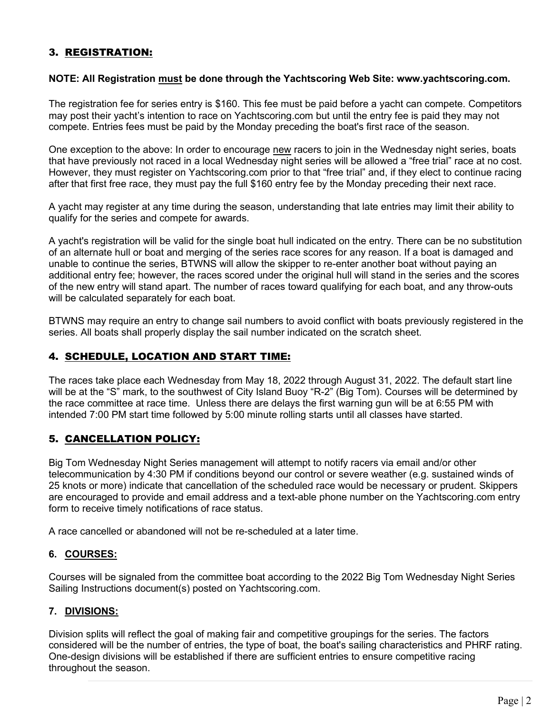# 3. REGISTRATION:

#### **NOTE: All Registration must be done through the Yachtscoring Web Site: www.yachtscoring.com.**

The registration fee for series entry is \$160. This fee must be paid before a yacht can compete. Competitors may post their yacht's intention to race on Yachtscoring.com but until the entry fee is paid they may not compete. Entries fees must be paid by the Monday preceding the boat's first race of the season.

One exception to the above: In order to encourage new racers to join in the Wednesday night series, boats that have previously not raced in a local Wednesday night series will be allowed a "free trial" race at no cost. However, they must register on Yachtscoring.com prior to that "free trial" and, if they elect to continue racing after that first free race, they must pay the full \$160 entry fee by the Monday preceding their next race.

A yacht may register at any time during the season, understanding that late entries may limit their ability to qualify for the series and compete for awards.

A yacht's registration will be valid for the single boat hull indicated on the entry. There can be no substitution of an alternate hull or boat and merging of the series race scores for any reason. If a boat is damaged and unable to continue the series, BTWNS will allow the skipper to re-enter another boat without paying an additional entry fee; however, the races scored under the original hull will stand in the series and the scores of the new entry will stand apart. The number of races toward qualifying for each boat, and any throw-outs will be calculated separately for each boat.

BTWNS may require an entry to change sail numbers to avoid conflict with boats previously registered in the series. All boats shall properly display the sail number indicated on the scratch sheet.

## 4. SCHEDULE, LOCATION AND START TIME:

The races take place each Wednesday from May 18, 2022 through August 31, 2022. The default start line will be at the "S" mark, to the southwest of City Island Buoy "R-2" (Big Tom). Courses will be determined by the race committee at race time. Unless there are delays the first warning gun will be at 6:55 PM with intended 7:00 PM start time followed by 5:00 minute rolling starts until all classes have started.

## 5. CANCELLATION POLICY:

Big Tom Wednesday Night Series management will attempt to notify racers via email and/or other telecommunication by 4:30 PM if conditions beyond our control or severe weather (e.g. sustained winds of 25 knots or more) indicate that cancellation of the scheduled race would be necessary or prudent. Skippers are encouraged to provide and email address and a text-able phone number on the Yachtscoring.com entry form to receive timely notifications of race status.

A race cancelled or abandoned will not be re-scheduled at a later time.

#### **6. COURSES:**

Courses will be signaled from the committee boat according to the 2022 Big Tom Wednesday Night Series Sailing Instructions document(s) posted on Yachtscoring.com.

#### **7. DIVISIONS:**

Division splits will reflect the goal of making fair and competitive groupings for the series. The factors considered will be the number of entries, the type of boat, the boat's sailing characteristics and PHRF rating. One-design divisions will be established if there are sufficient entries to ensure competitive racing throughout the season.